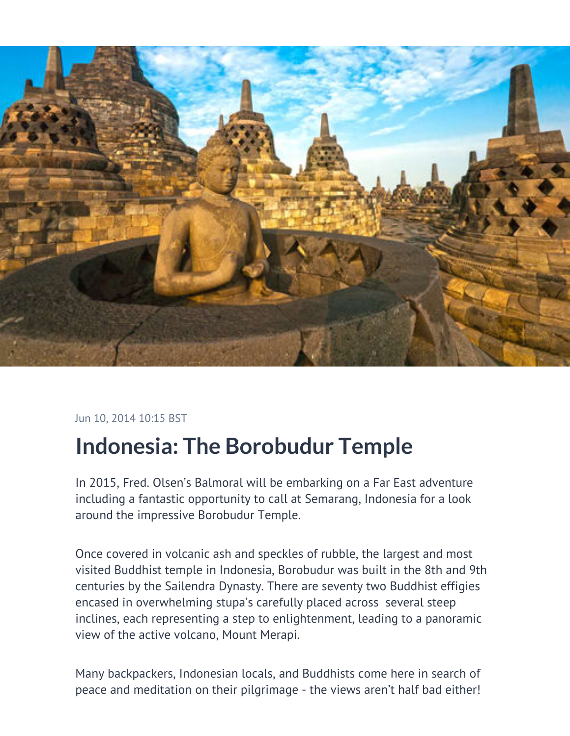

Jun 10, 2014 10:15 BST

## **Indonesia: The Borobudur Temple**

In 2015, Fred. Olsen's Balmoral will be embarking on a Far East adventure including a fantastic opportunity to call at Semarang, Indonesia for a look around the impressive Borobudur Temple.

Once covered in volcanic ash and speckles of rubble, the largest and most visited Buddhist temple in Indonesia, Borobudur was built in the 8th and 9th centuries by the Sailendra Dynasty. There are seventy two Buddhist effigies encased in overwhelming stupa's carefully placed across several steep inclines, each representing a step to enlightenment, leading to a panoramic view of the active volcano, Mount Merapi.

Many backpackers, Indonesian locals, and Buddhists come here in search of peace and meditation on their pilgrimage - the views aren't half bad either!